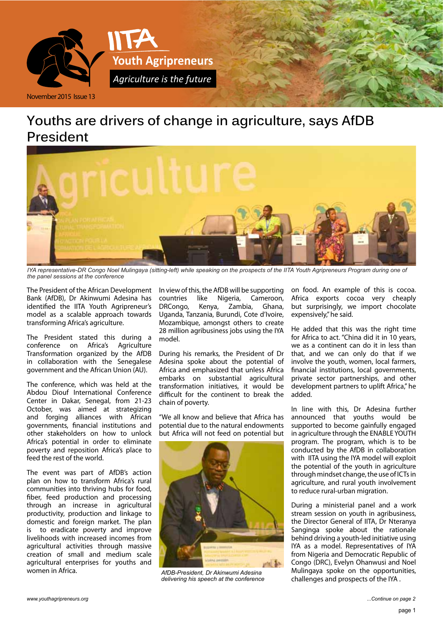

# **Youths are drivers of change in agriculture, says AfDB President**



*IYA representative-DR Congo Noel Mulingaya (sitting-left) while speaking on the prospects of the IITA Youth Agripreneurs Program during one of the panel sessions at the conference*

The President of the African Development Bank (AfDB), Dr Akinwumi Adesina has identified the IITA Youth Agripreneur's model as a scalable approach towards transforming Africa's agriculture.

The President stated this during a conference on Africa's Agriculture Transformation organized by the AfDB in collaboration with the Senegalese government and the African Union (AU).

The conference, which was held at the Abdou Diouf International Conference Center in Dakar, Senegal, from 21-23 October, was aimed at strategizing and forging alliances with African governments, financial institutions and other stakeholders on how to unlock Africa's potential in order to eliminate poverty and reposition Africa's place to feed the rest of the world.

The event was part of AfDB's action plan on how to transform Africa's rural communities into thriving hubs for food, fiber, feed production and processing through an increase in agricultural productivity, production and linkage to domestic and foreign market. The plan is to eradicate poverty and improve livelihoods with increased incomes from agricultural activities through massive creation of small and medium scale agricultural enterprises for youths and women in Africa.

In view of this, the AfDB will be supporting countries like Nigeria, Cameroon, DRCongo, Kenya, Zambia, Ghana, Uganda, Tanzania, Burundi, Cote d'Ivoire, Mozambique, amongst others to create 28 million agribusiness jobs using the IYA model.

During his remarks, the President of Dr Adesina spoke about the potential of Africa and emphasized that unless Africa embarks on substantial agricultural transformation initiatives, it would be difficult for the continent to break the chain of poverty.

"We all know and believe that Africa has potential due to the natural endowments but Africa will not feed on potential but



*AfDB-President, Dr Akinwumi Adesina delivering his speech at the conference*

on food. An example of this is cocoa. Africa exports cocoa very cheaply but surprisingly, we import chocolate expensively," he said.

He added that this was the right time for Africa to act. "China did it in 10 years, we as a continent can do it in less than that, and we can only do that if we involve the youth, women, local farmers, financial institutions, local governments, private sector partnerships, and other development partners to uplift Africa," he added.

In line with this, Dr Adesina further announced that youths would be supported to become gainfully engaged in agriculture through the ENABLE YOUTH program. The program, which is to be conducted by the AfDB in collaboration with IITA using the IYA model will exploit the potential of the youth in agriculture through mindset change, the use of ICTs in agriculture, and rural youth involvement to reduce rural-urban migration.

During a ministerial panel and a work stream session on youth in agribusiness, the Director General of IITA, Dr Nteranya Sanginga spoke about the rationale behind driving a youth-led initiative using IYA as a model. Representatives of IYA from Nigeria and Democratic Republic of Congo (DRC), Evelyn Ohanwusi and Noel Mulingaya spoke on the opportunities, challenges and prospects of the IYA .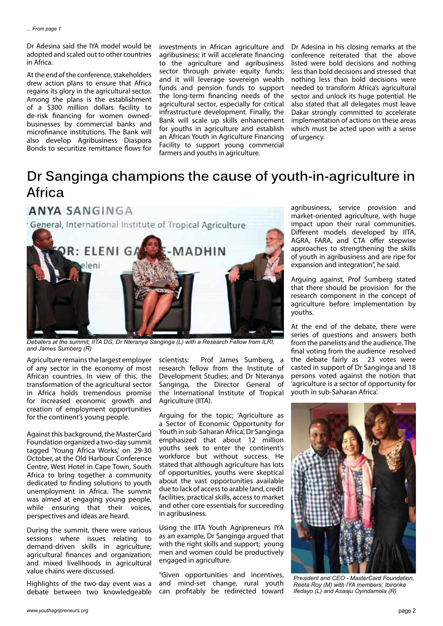Dr Adesina said the IYA model would be adopted and scaled out to other countries in Africa.

At the end of the conference, stakeholders drew action plans to ensure that Africa regains its glory in the agricultural sector. Among the plans is the establishment of a \$300 million dollars facility to de-risk financing for women ownedbusinesses by commercial banks and microfinance institutions. The Bank will also develop Agribusiness Diaspora Bonds to securitize remittance flows for

investments in African agriculture and agribusiness; it will accelerate financing to the agriculture and agribusiness sector through private equity funds; and it will leverage sovereign wealth funds and pension funds to support the long-term financing needs of the agricultural sector, especially for critical infrastructure development. Finally, the Bank will scale up skills enhancement for youths in agriculture and establish an African Youth in Agriculture Financing Facility to support young commercial farmers and youths in agriculture.

Dr Adesina in his closing remarks at the conference reiterated that the above listed were bold decisions and nothing less than bold decisions and stressed that nothing less than bold decisions were needed to transform Africa's agricultural sector and unlock its huge potential. He also stated that all delegates must leave Dakar strongly committed to accelerate implementation of actions on these areas which must be acted upon with a sense of urgency.

# **Dr Sanginga champions the cause of youth-in-agriculture in Africa**



*Debaters at the summit; IITA DG, Dr Nteranya Sanginga (L) with a Research Fellow from ILRI, and James Sumberg (R)* 

Agriculture remains the largest employer of any sector in the economy of most African countries. In view of this, the transformation of the agricultural sector in Africa holds tremendous promise for increased economic growth and creation of employment opportunities for the continent's young people.

Against this background, the MasterCard Foundation organized a two-day summit tagged 'Young Africa Works,' on 29-30 October, at the Old Harbour Conference Centre, West Hotel in Cape Town, South Africa to bring together a community dedicated to finding solutions to youth unemployment in Africa. The summit was aimed at engaging young people, while ensuring that their voices, perspectives and ideas are heard.

During the summit, there were various sessions where issues relating to demand-driven skills in agriculture; agricultural finances and organization; and mixed livelihoods in agricultural value chains were discussed.

Highlights of the two-day event was a debate between two knowledgeable scientists: Prof James Sumberg, a research fellow from the Institute of Development Studies; and Dr Nteranya Sanginga, the Director General of the International Institute of Tropical Agriculture (IITA).

Arguing for the topic; 'Agriculture as a Sector of Economic Opportunity for Youth in sub-Saharan Africa', Dr Sanginga emphasized that about 12 million youths seek to enter the continent's workforce but without success. He stated that although agriculture has lots of opportunities, youths were skeptical about the vast opportunities available due to lack of access to arable land, credit facilities, practical skills, access to market and other core essentials for succeeding in agribusiness.

Using the IITA Youth Agripreneurs IYA as an example, Dr Sanginga argued that with the right skills and support; young men and women could be productively engaged in agriculture.

"Given opportunities and incentives, and mind-set change, rural youth can profitably be redirected toward agribusiness, service provision and market-oriented agriculture, with huge impact upon their rural communities. Different models developed by IITA, AGRA, FARA, and CTA offer stepwise approaches to strengthening the skills of youth in agribusiness and are ripe for expansion and integration", he said.

Arguing against, Prof Sumberg stated that there should be provision for the research component in the concept of agriculture before implementation by youths.

At the end of the debate, there were series of questions and answers both from the panelists and the audience. The final voting from the audience resolved the debate fairly as 23 votes were casted in support of Dr Sanginga and 18 persons voted against the notion that 'agriculture is a sector of opportunity for youth in sub-Saharan Africa'.



*President and CEO - MasterCard Foundation, Reeta Roy (M) with IYA members; Ibironke Ifedayo (L) and Asaaju Oyindamola (R)*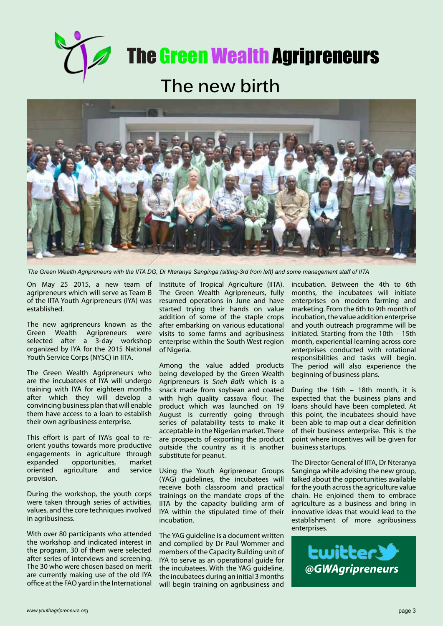



*The Green Wealth Agripreneurs with the IITA DG, Dr Nteranya Sanginga (sitting-3rd from left) and some management staff of IITA*

On May 25 2015, a new team of agripreneurs which will serve as Team B of the IITA Youth Agripreneurs (IYA) was established.

The new agripreneurs known as the Green Wealth Agripreneurs were selected after a 3-day workshop organized by IYA for the 2015 National Youth Service Corps (NYSC) in IITA.

The Green Wealth Agripreneurs who are the incubatees of IYA will undergo training with IYA for eighteen months after which they will develop a convincing business plan that will enable them have access to a loan to establish their own agribusiness enterprise.

This effort is part of IYA's goal to reorient youths towards more productive engagements in agriculture through<br>expanded opportunities. market expanded opportunities, market agriculture and provision.

During the workshop, the youth corps were taken through series of activities, values, and the core techniques involved in agribusiness.

With over 80 participants who attended the workshop and indicated interest in the program, 30 of them were selected after series of interviews and screening. The 30 who were chosen based on merit are currently making use of the old IYA office at the FAO yard in the International

Institute of Tropical Agriculture (IITA). The Green Wealth Agripreneurs, fully resumed operations in June and have started trying their hands on value addition of some of the staple crops after embarking on various educational visits to some farms and agribusiness enterprise within the South West region of Nigeria.

Among the value added products being developed by the Green Wealth Agripreneurs is *Sneh Balls* which is a snack made from soybean and coated with high quality cassava flour. The product which was launched on 19 August is currently going through series of palatability tests to make it acceptable in the Nigerian market. There are prospects of exporting the product outside the country as it is another substitute for peanut.

Using the Youth Agripreneur Groups (YAG) guidelines, the incubatees will receive both classroom and practical trainings on the mandate crops of the IITA by the capacity building arm of IYA within the stipulated time of their incubation.

The YAG guideline is a document written and compiled by Dr Paul Wommer and members of the Capacity Building unit of IYA to serve as an operational guide for the incubatees. With the YAG guideline, the incubatees during an initial 3 months will begin training on agribusiness and

incubation. Between the 4th to 6th months, the incubatees will initiate enterprises on modern farming and marketing. From the 6th to 9th month of incubation, the value addition enterprise and youth outreach programme will be initiated. Starting from the 10th – 15th month, experiential learning across core enterprises conducted with rotational responsibilities and tasks will begin. The period will also experience the beginning of business plans.

During the 16th – 18th month, it is expected that the business plans and loans should have been completed. At this point, the incubatees should have been able to map out a clear definition of their business enterprise. This is the point where incentives will be given for business startups.

The Director General of IITA, Dr Nteranya Sanginga while advising the new group, talked about the opportunities available for the youth across the agriculture value chain. He enjoined them to embrace agriculture as a business and bring in innovative ideas that would lead to the establishment of more agribusiness enterprises.

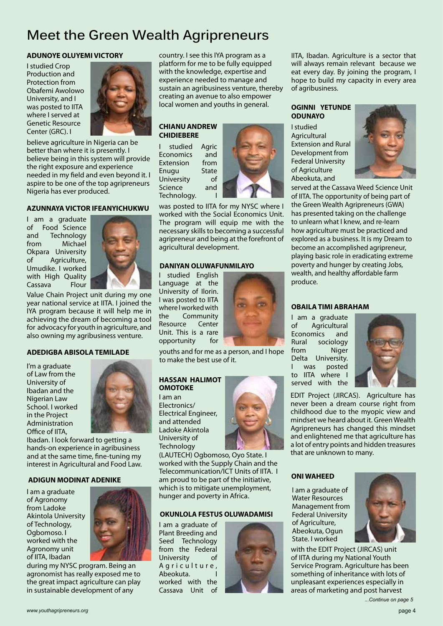# **Meet the Green Wealth Agripreneurs**

# **ADUNOYE OLUYEMI VICTORY**

I studied Crop Production and Protection from Obafemi Awolowo University, and I was posted to IITA where I served at Genetic Resource Center (GRC). I



believe agriculture in Nigeria can be better than where it is presently. I believe being in this system will provide the right exposure and experience needed in my field and even beyond it. I aspire to be one of the top agripreneurs Nigeria has ever produced.

# **AZUNNAYA VICTOR IFEANYICHUKWU**

I am a graduate of Food Science and Technology from Michael Okpara University of Agriculture, Umudike. I worked with High Quality Cassava Flour



Value Chain Project unit during my one year national service at IITA. I joined the IYA program because it will help me in achieving the dream of becoming a tool for advocacy for youth in agriculture, and also owning my agribusiness venture.

# **ADEDIGBA ABISOLA TEMILADE**

I'm a graduate of Law from the University of Ibadan and the Nigerian Law School. I worked in the Project Administration Office of IITA,



Ibadan. I look forward to getting a hands-on experience in agribusiness and at the same time, fine-tuning my interest in Agricultural and Food Law.

# **ADIGUN MODINAT ADENIKE**

I am a graduate of Agronomy from Ladoke Akintola University of Technology, Ogbomoso. I worked with the Agronomy unit of IITA, Ibadan



during my NYSC program. Being an agronomist has really exposed me to the great impact agriculture can play in sustainable development of any

country. I see this IYA program as a platform for me to be fully equipped with the knowledge, expertise and experience needed to manage and sustain an agribusiness venture, thereby creating an avenue to also empower local women and youths in general.

### **CHIANU ANDREW CHIDIEBERE**

I studied Agric Economics and Extension from Enugu State University of Science and Technology.



was posted to IITA for my NYSC where I worked with the Social Economics Unit. The program will equip me with the necessary skills to becoming a successful agripreneur and being at the forefront of agricultural development.

# **DANIYAN OLUWAFUNMILAYO**

I studied English Language at the University of Ilorin. I was posted to IITA where I worked with the Community<br>Resource Center Resource Unit. This is a rare opportunity for



youths and for me as a person, and I hope to make the best use of it.

#### **HASSAN HALIMOT OMOTOKE**

I am an Electronics/ Electrical Engineer, and attended Ladoke Akintola University of **Technology** 



(LAUTECH) Ogbomoso, Oyo State. I worked with the Supply Chain and the Telecommunication/ICT Units of IITA. I am proud to be part of the initiative, which is to mitigate unemployment, hunger and poverty in Africa.

# **OKUNLOLA FESTUS OLUWADAMISI**

I am a graduate of Plant Breeding and Seed Technology from the Federal University of A a r i c u l t u r e, Abeokuta. I worked with the Cassava Unit of



IITA, Ibadan. Agriculture is a sector that will always remain relevant because we eat every day. By joining the program, I hope to build my capacity in every area of agribusiness.

# **OGINNI YETUNDE ODUNAYO**

I studied Agricultural Extension and Rural Development from Federal University of Agriculture Abeokuta, and



served at the Cassava Weed Science Unit of IITA. The opportunity of being part of the Green Wealth Agripreneurs (GWA) has presented taking on the challenge to unlearn what I knew, and re-learn how agriculture must be practiced and explored as a business. It is my Dream to become an accomplished agripreneur, playing basic role in eradicating extreme poverty and hunger by creating Jobs, wealth, and healthy affordable farm produce.

# **OBAILA TIMI ABRAHAM**

I am a graduate of Agricultural Economics and Rural sociology from Niger Delta University. was posted to IITA where I served with the



EDIT Project (JIRCAS). Agriculture has never been a dream course right from childhood due to the myopic view and mindset we heard about it. Green Wealth Agripreneurs has changed this mindset and enlightened me that agriculture has a lot of entry points and hidden treasures that are unknown to many.

# **ONI WAHEED**

I am a graduate of Water Resources Management from Federal University of Agriculture, Abeokuta, Ogun State. I worked



*...Continue on page 5* with the EDIT Project (JIRCAS) unit of IITA during my National Youth Service Program. Agriculture has been something of inheritance with lots of unpleasant experiences especially in areas of marketing and post harvest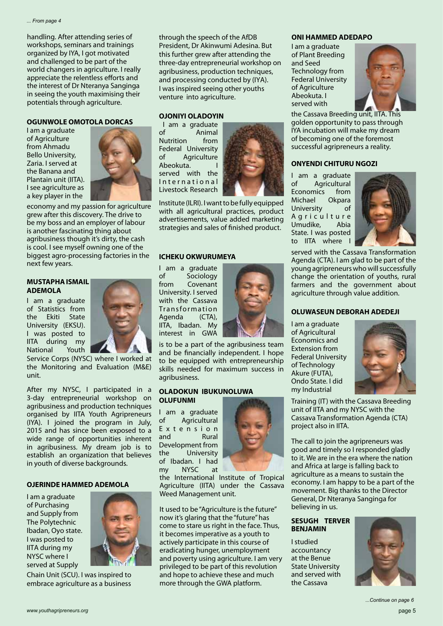handling. After attending series of workshops, seminars and trainings organized by IYA, I got motivated and challenged to be part of the world changers in agriculture. I really appreciate the relentless efforts and the interest of Dr Nteranya Sanginga in seeing the youth maximising their potentials through agriculture.

#### **OGUNWOLE OMOTOLA DORCAS**

I am a graduate of Agriculture from Ahmadu Bello University, Zaria. I served at the Banana and Plantain unit (IITA). I see agriculture as a key player in the



economy and my passion for agriculture grew after this discovery. The drive to be my boss and an employer of labour is another fascinating thing about agribusiness though it's dirty, the cash is cool. I see myself owning one of the biggest agro-processing factories in the next few years.

### **MUSTAPHA ISMAIL ADEMOLA**

I am a graduate of Statistics from the Ekiti State University (EKSU). I was posted to IITA during my National Youth



Service Corps (NYSC) where I worked at the Monitoring and Evaluation (M&E) unit.

After my NYSC, I participated in a 3-day entrepreneurial workshop on agribusiness and production techniques organised by IITA Youth Agripreneurs (IYA). I joined the program in July, 2015 and has since been exposed to a wide range of opportunities inherent in agribusiness. My dream job is to establish an organization that believes in youth of diverse backgrounds.

# **OJERINDE HAMMED ADEMOLA**

I am a graduate of Purchasing and Supply from The Polytechnic Ibadan, Oyo state. I was posted to IITA during my NYSC where I served at Supply



Chain Unit (SCU). I was inspired to embrace agriculture as a business through the speech of the AfDB President, Dr Akinwumi Adesina. But this further grew after attending the three-day entrepreneurial workshop on agribusiness, production techniques, and processing conducted by (IYA). I was inspired seeing other youths venture into agriculture.

### **OJONIYI OLADOYIN**

 I am a graduate of Animal Nutrition from Federal University of Agriculture Abeokuta. served with the International Livestock Research



Institute (ILRI). I want to be fully equipped with all agricultural practices, product advertisements, value added marketing strategies and sales of finished product.

### **ICHEKU OKWURUMEYA**

I am a graduate of Sociology from Covenant University. I served with the Cassava **Transformation** Agenda (CTA), IITA, Ibadan. My interest in GWA



is to be a part of the agribusiness team and be financially independent. I hope to be equipped with entrepreneurship skills needed for maximum success in agribusiness.

#### **OLADOKUN IBUKUNOLUWA OLUFUNMI**

I am a graduate of Agricultural E x t e n s i o n and Rural Development from the University of Ibadan. I had my NYSC at

the International Institute of Tropical Agriculture (IITA) under the Cassava Weed Management unit.

It used to be "Agriculture is the future" now it's glaring that the "future" has come to stare us right in the face. Thus, it becomes imperative as a youth to actively participate in this course of eradicating hunger, unemployment and poverty using agriculture. I am very privileged to be part of this revolution and hope to achieve these and much more through the GWA platform.

# **ONI HAMMED ADEDAPO**

I am a graduate of Plant Breeding and Seed Technology from Federal University of Agriculture Abeokuta. I served with



the Cassava Breeding unit, IITA. This golden opportunity to pass through IYA incubation will make my dream of becoming one of the foremost successful agripreneurs a reality.

# **ONYENDI CHITURU NGOZI**

I am a graduate of Agricultural Economics from Michael Okpara University of A g r i c u l t u r e Umudike, Abia State. I was posted to IITA where



served with the Cassava Transformation Agenda (CTA). I am glad to be part of the young agripreneurs who will successfully change the orientation of youths, rural farmers and the government about agriculture through value addition.

# **OLUWASEUN DEBORAH ADEDEJI**

I am a graduate of Agricultural Economics and Extension from Federal University of Technology Akure (FUTA), Ondo State. I did my Industrial



Training (IT) with the Cassava Breeding unit of IITA and my NYSC with the Cassava Transformation Agenda (CTA) project also in IITA.

The call to join the agripreneurs was good and timely so I responded gladly to it. We are in the era where the nation and Africa at large is falling back to agriculture as a means to sustain the economy. I am happy to be a part of the movement. Big thanks to the Director General, Dr Nteranya Sanginga for believing in us.

### **SESUGH TERVER BENJAMIN**

I studied accountancy at the Benue State University and served with the Cassava

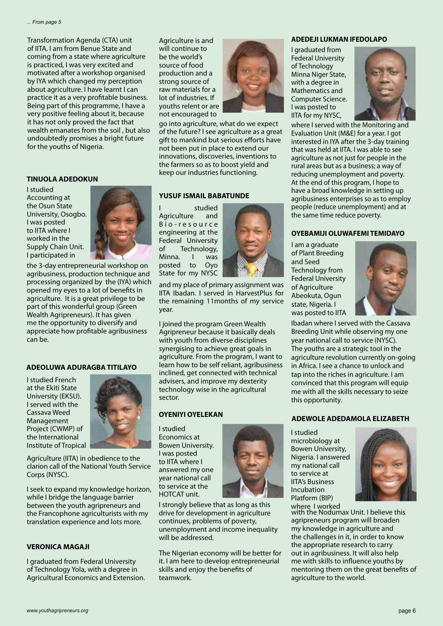Transformation Agenda (CTA) unit of IITA. I am from Benue State and coming from a state where agriculture is practiced, I was very excited and motivated after a workshop organised by IYA which changed my perception about agriculture. I have learnt I can practice it as a very profitable business. Being part of this programme, I have a very positive feeling about it, because it has not only proved the fact that wealth emanates from the soil , but also undoubtedly promises a bright future for the youths of Nigeria.

#### **TINUOLA ADEDOKUN**

I studied Accounting at the Osun State University, Osogbo. I was posted to IITA where I worked in the Supply Chain Unit. I participated in



the 3-day entrepreneurial workshop on agribusiness, production technique and processing organized by the (IYA) which opened my eyes to a lot of benefits in agriculture. It is a great privilege to be part of this wonderful group (Green Wealth Agripreneurs). It has given me the opportunity to diversify and appreciate how profitable agribusiness can be.

#### **ADEOLUWA ADURAGBA TITILAYO**

I studied French at the Ekiti State University (EKSU). I served with the Cassava Weed Management Project (CWMP) of the International Institute of Tropical



Agriculture (IITA) in obedience to the clarion call of the National Youth Service Corps (NYSC).

I seek to expand my knowledge horizon, while I bridge the language barrier between the youth agripreneurs and the Francophone agriculturists with my translation experience and lots more.

### **VERONICA MAGAJI**

I graduated from Federal University of Technology Yola, with a degree in Agricultural Economics and Extension.

Agriculture is and will continue to be the world's source of food production and a strong source of raw materials for a lot of industries. If youths relent or are not encouraged to



go into agriculture, what do we expect of the future? I see agriculture as a great gift to mankind but serious efforts have not been put in place to extend our innovations, discoveries, inventions to the farmers so as to boost yield and keep our industries functioning.

#### **YUSUF ISMAIL BABATUNDE**

I studied Agriculture and B i o - r e s o u r c e engineering at the Federal University of Technology, Minna. I was posted to Oyo State for my NYSC



and my place of primary assignment was IITA Ibadan. I served in HarvestPlus for the remaining 11months of my service year.

I joined the program Green Wealth Agripreneur because it basically deals with youth from diverse disciplines synergising to achieve great goals in agriculture. From the program, I want to learn how to be self reliant, agribusiness inclined, get connected with technical advisers, and improve my dexterity technology wise in the agricultural sector.

I studied Economics at Bowen University. I was posted to IITA where I answered my one year national call to service at the HOTCAT unit.

I strongly believe that as long as this drive for development in agriculture continues, problems of poverty, unemployment and income inequality will be addressed.

The Nigerian economy will be better for it. I am here to develop entrepreneurial skills and enjoy the benefits of teamwork.

#### **ADEDEJI LUKMAN IFEDOLAPO**

I graduated from Federal University of Technology Minna Niger State, with a degree in Mathematics and Computer Science. I was posted to IITA for my NYSC,



where I served with the Monitoring and Evaluation Unit (M&E) for a year. I got interested in IYA after the 3-day training that was held at IITA. I was able to see agriculture as not just for people in the rural areas but as a business; a way of reducing unemployment and poverty. At the end of this program, I hope to have a broad knowledge in setting up agribusiness enterprises so as to employ people (reduce unemployment) and at the same time reduce poverty.

#### **OYEBAMIJI OLUWAFEMI TEMIDAYO**

I am a graduate of Plant Breeding and Seed Technology from Federal University of Agriculture Abeokuta, Ogun state, Nigeria. I was posted to IITA



Ibadan where I served with the Cassava Breeding Unit while observing my one year national call to service (NYSC). The youths are a strategic tool in the agriculture revolution currently on-going in Africa. I see a chance to unlock and tap into the riches in agriculture. I am convinced that this program will equip me with all the skills necessary to seize this opportunity.

# **ADEWOLE ADEDAMOLA ELIZABETH OYENIYI OYELEKAN**

I studied microbiology at Bowen University, Nigeria. I answered my national call to service at IITA's Business Incubation Platform (BIP)



where I worked<br>with the Nodumax Unit. I believe this agripreneurs program will broaden my knowledge in agriculture and the challenges in it, in order to know the appropriate research to carry out in agribusiness. It will also help me with skills to influence youths by mentoring them on the great benefits of agriculture to the world.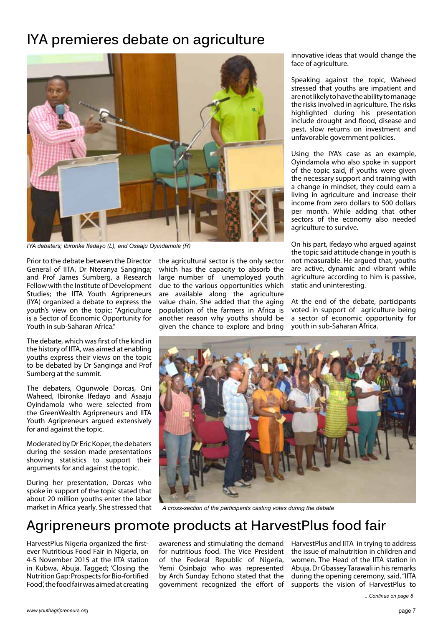# **IYA premieres debate on agriculture**



*IYA debaters; Ibironke Ifedayo (L), and Osaaju Oyindamola (R)*

Prior to the debate between the Director General of IITA, Dr Nteranya Sanginga; and Prof James Sumberg, a Research Fellow with the Institute of Development Studies; the IITA Youth Agripreneurs (IYA) organized a debate to express the youth's view on the topic; "Agriculture is a Sector of Economic Opportunity for Youth in sub-Saharan Africa."

The debate, which was first of the kind in the history of IITA, was aimed at enabling youths express their views on the topic to be debated by Dr Sanginga and Prof Sumberg at the summit.

The debaters, Ogunwole Dorcas, Oni Waheed, Ibironke Ifedayo and Asaaju Oyindamola who were selected from the GreenWealth Agripreneurs and IITA Youth Agripreneurs argued extensively for and against the topic.

Moderated by Dr Eric Koper, the debaters during the session made presentations showing statistics to support their arguments for and against the topic.

During her presentation, Dorcas who spoke in support of the topic stated that about 20 million youths enter the labor the agricultural sector is the only sector which has the capacity to absorb the large number of unemployed youth due to the various opportunities which are available along the agriculture value chain. She added that the aging population of the farmers in Africa is another reason why youths should be given the chance to explore and bring

innovative ideas that would change the face of agriculture.

Speaking against the topic, Waheed stressed that youths are impatient and are not likely to have the ability to manage the risks involved in agriculture. The risks highlighted during his presentation include drought and flood, disease and pest, slow returns on investment and unfavorable government policies.

Using the IYA's case as an example, Oyindamola who also spoke in support of the topic said, if youths were given the necessary support and training with a change in mindset, they could earn a living in agriculture and increase their income from zero dollars to 500 dollars per month. While adding that other sectors of the economy also needed agriculture to survive.

On his part, Ifedayo who argued against the topic said attitude change in youth is not measurable. He argued that, youths are active, dynamic and vibrant while agriculture according to him is passive, static and uninteresting.

At the end of the debate, participants voted in support of agriculture being a sector of economic opportunity for youth in sub-Saharan Africa.



market in Africa yearly. She stressed that *A cross-section of the participants casting votes during the debate*

# **Agripreneurs promote products at HarvestPlus food fair**

HarvestPlus Nigeria organized the firstever Nutritious Food Fair in Nigeria, on 4-5 November 2015 at the IITA station in Kubwa, Abuja. Tagged; 'Closing the Nutrition Gap: Prospects for Bio-fortified Food', the food fair was aimed at creating

for nutritious food. The Vice President of the Federal Republic of Nigeria, Yemi Osinbajo who was represented by Arch Sunday Echono stated that the government recognized the effort of

awareness and stimulating the demand HarvestPlus and IITA in trying to address the issue of malnutrition in children and women. The Head of the IITA station in Abuja, Dr Gbassey Tarawali in his remarks during the opening ceremony, said, "IITA supports the vision of HarvestPlus to